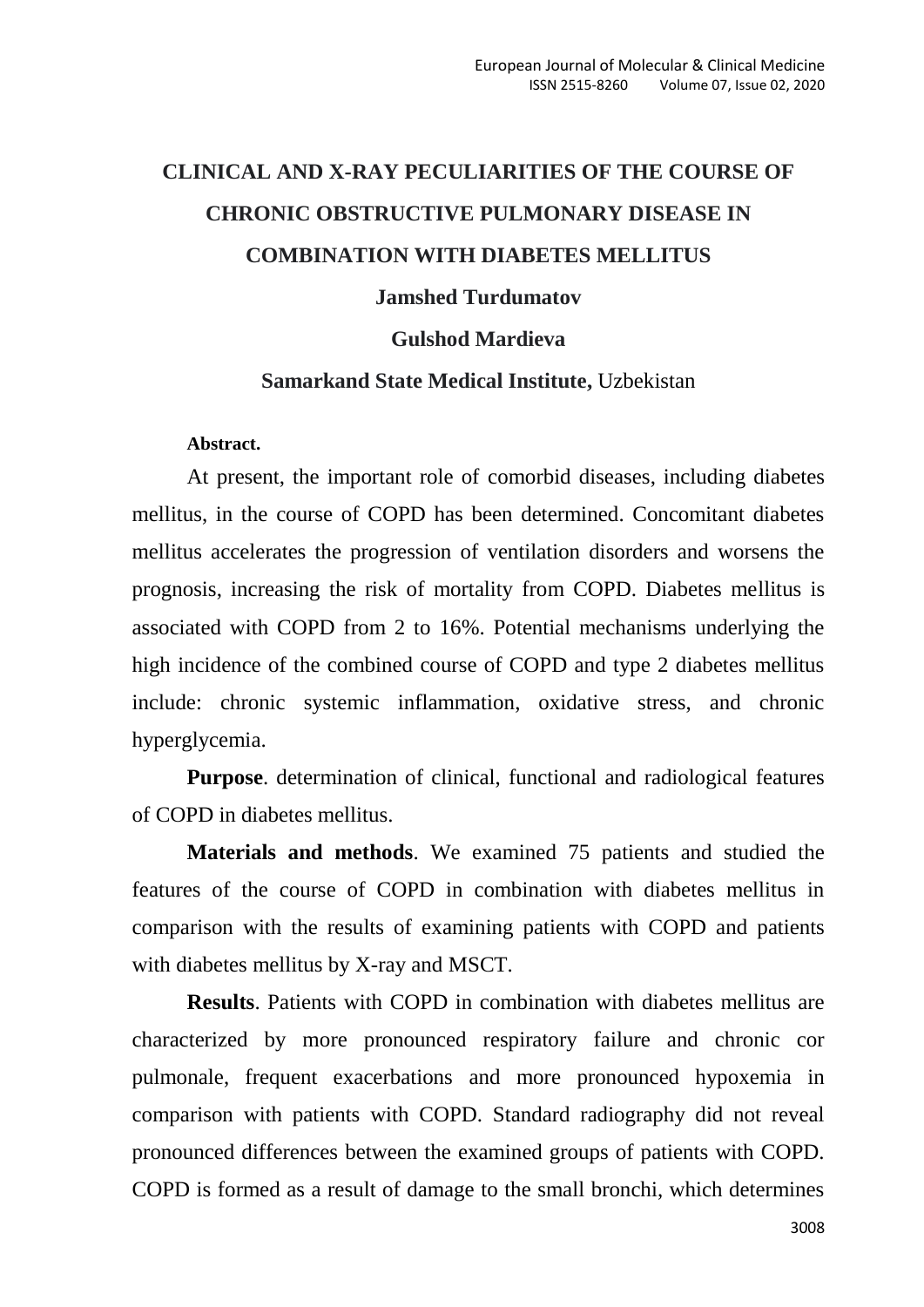# **CLINICAL AND X-RAY PECULIARITIES OF THE COURSE OF CHRONIC OBSTRUCTIVE PULMONARY DISEASE IN COMBINATION WITH DIABETES MELLITUS Jamshed Turdumatov Gulshod Mardieva**

## **Samarkand State Medical Institute,** Uzbekistan

#### **Abstract.**

At present, the important role of comorbid diseases, including diabetes mellitus, in the course of COPD has been determined. Concomitant diabetes mellitus accelerates the progression of ventilation disorders and worsens the prognosis, increasing the risk of mortality from COPD. Diabetes mellitus is associated with COPD from 2 to 16%. Potential mechanisms underlying the high incidence of the combined course of COPD and type 2 diabetes mellitus include: chronic systemic inflammation, oxidative stress, and chronic hyperglycemia.

**Purpose**. determination of clinical, functional and radiological features of COPD in diabetes mellitus.

**Materials and methods**. We examined 75 patients and studied the features of the course of COPD in combination with diabetes mellitus in comparison with the results of examining patients with COPD and patients with diabetes mellitus by X-ray and MSCT.

**Results**. Patients with COPD in combination with diabetes mellitus are characterized by more pronounced respiratory failure and chronic cor pulmonale, frequent exacerbations and more pronounced hypoxemia in comparison with patients with COPD. Standard radiography did not reveal pronounced differences between the examined groups of patients with COPD. COPD is formed as a result of damage to the small bronchi, which determines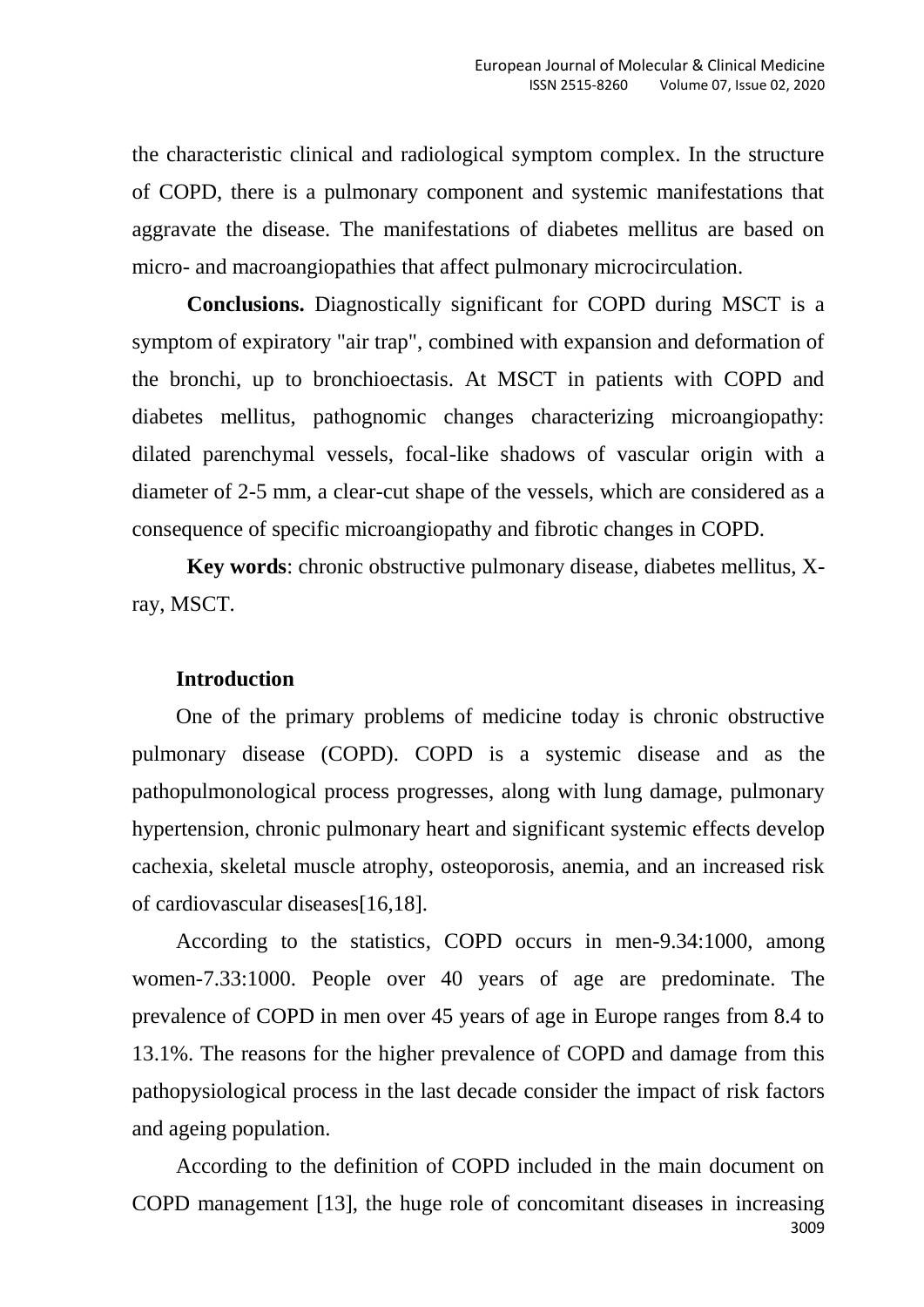the characteristic clinical and radiological symptom complex. In the structure of COPD, there is a pulmonary component and systemic manifestations that aggravate the disease. The manifestations of diabetes mellitus are based on micro- and macroangiopathies that affect pulmonary microcirculation.

**Conclusions.** Diagnostically significant for COPD during MSCT is a symptom of expiratory "air trap", combined with expansion and deformation of the bronchi, up to bronchioectasis. At MSCT in patients with COPD and diabetes mellitus, pathognomic changes characterizing microangiopathy: dilated parenchymal vessels, focal-like shadows of vascular origin with a diameter of 2-5 mm, a clear-cut shape of the vessels, which are considered as a consequence of specific microangiopathy and fibrotic changes in COPD.

**Key words**: chronic obstructive pulmonary disease, diabetes mellitus, Xray, MSCT.

## **Introduction**

One of the primary problems of medicine today is chronic obstructive pulmonary disease (COPD). COPD is a systemic disease and as the pathopulmonological process progresses, along with lung damage, pulmonary hypertension, chronic pulmonary heart and significant systemic effects develop cachexia, skeletal muscle atrophy, osteoporosis, anemia, and an increased risk of cardiovascular diseases[16,18].

According to the statistics, COPD occurs in men-9.34:1000, among women-7.33:1000. People over 40 years of age are predominate. The prevalence of COPD in men over 45 years of age in Europe ranges from 8.4 to 13.1%. The reasons for the higher prevalence of COPD and damage from this pathopysiological process in the last decade consider the impact of risk factors and ageing population.

3009 According to the definition of COPD included in the main document on COPD management [13], the huge role of concomitant diseases in increasing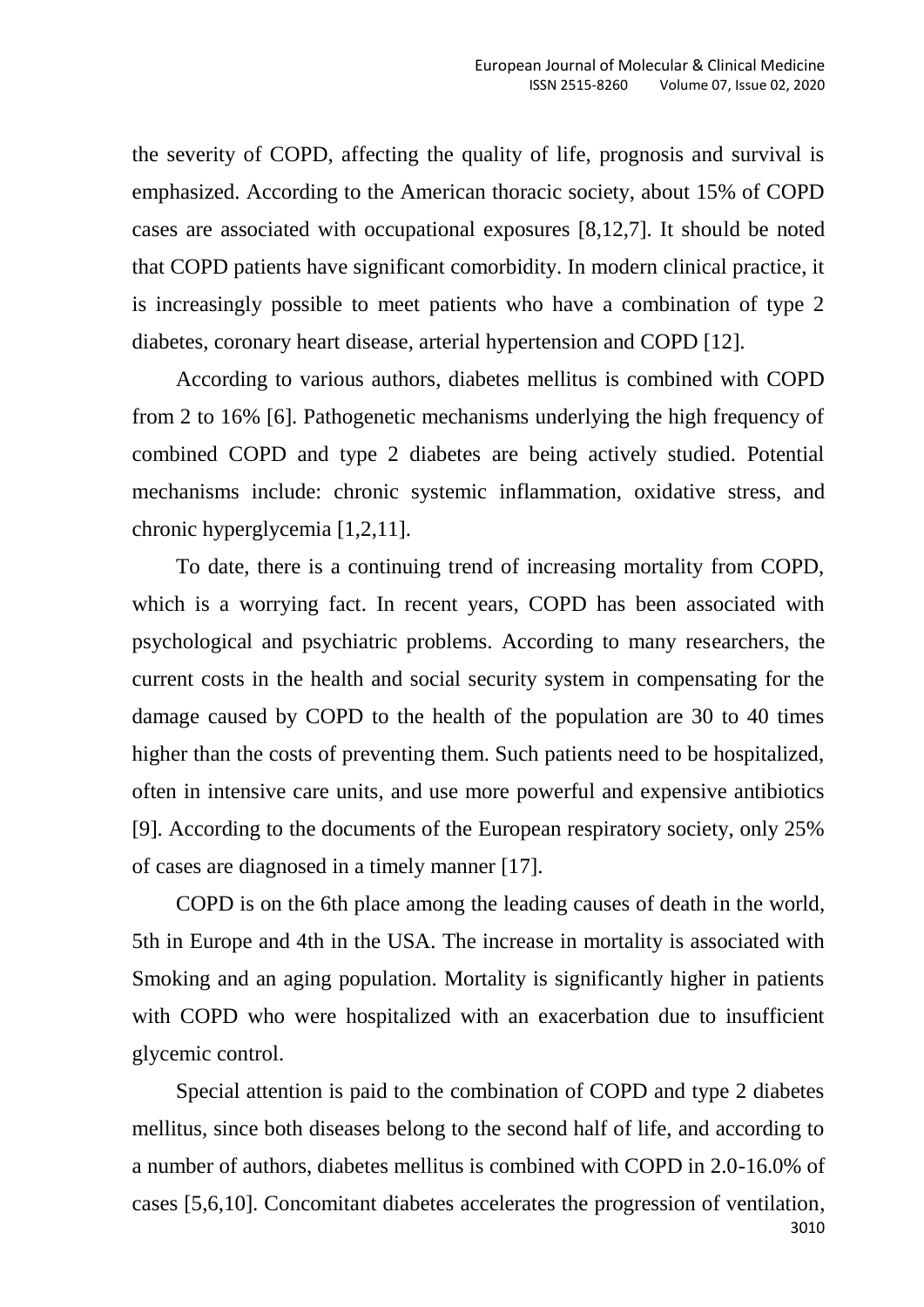the severity of COPD, affecting the quality of life, prognosis and survival is emphasized. According to the American thoracic society, about 15% of COPD cases are associated with occupational exposures [8,12,7]. It should be noted that COPD patients have significant comorbidity. In modern clinical practice, it is increasingly possible to meet patients who have a combination of type 2 diabetes, coronary heart disease, arterial hypertension and COPD [12].

According to various authors, diabetes mellitus is combined with COPD from 2 to 16% [6]. Pathogenetic mechanisms underlying the high frequency of combined COPD and type 2 diabetes are being actively studied. Potential mechanisms include: chronic systemic inflammation, oxidative stress, and chronic hyperglycemia [1,2,11].

To date, there is a continuing trend of increasing mortality from COPD, which is a worrying fact. In recent years, COPD has been associated with psychological and psychiatric problems. According to many researchers, the current costs in the health and social security system in compensating for the damage caused by COPD to the health of the population are 30 to 40 times higher than the costs of preventing them. Such patients need to be hospitalized, often in intensive care units, and use more powerful and expensive antibiotics [9]. According to the documents of the European respiratory society, only 25% of cases are diagnosed in a timely manner [17].

COPD is on the 6th place among the leading causes of death in the world, 5th in Europe and 4th in the USA. The increase in mortality is associated with Smoking and an aging population. Mortality is significantly higher in patients with COPD who were hospitalized with an exacerbation due to insufficient glycemic control.

3010 Special attention is paid to the combination of COPD and type 2 diabetes mellitus, since both diseases belong to the second half of life, and according to a number of authors, diabetes mellitus is combined with COPD in 2.0-16.0% of cases [5,6,10]. Concomitant diabetes accelerates the progression of ventilation,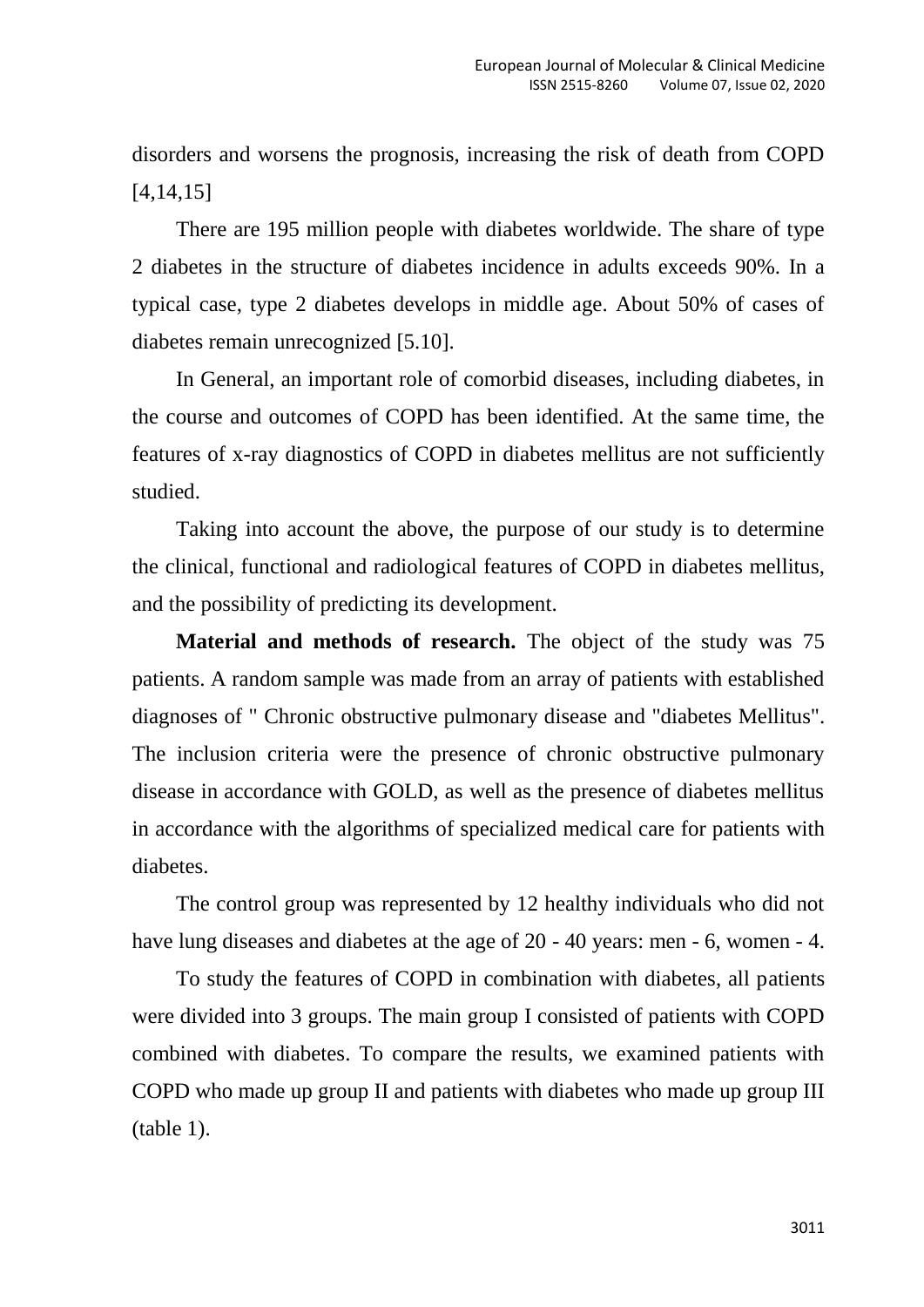disorders and worsens the prognosis, increasing the risk of death from COPD [4,14,15]

There are 195 million people with diabetes worldwide. The share of type 2 diabetes in the structure of diabetes incidence in adults exceeds 90%. In a typical case, type 2 diabetes develops in middle age. About 50% of cases of diabetes remain unrecognized [5.10].

In General, an important role of comorbid diseases, including diabetes, in the course and outcomes of COPD has been identified. At the same time, the features of x-ray diagnostics of COPD in diabetes mellitus are not sufficiently studied.

Taking into account the above, the purpose of our study is to determine the clinical, functional and radiological features of COPD in diabetes mellitus, and the possibility of predicting its development.

**Material and methods of research.** The object of the study was 75 patients. A random sample was made from an array of patients with established diagnoses of " Chronic obstructive pulmonary disease and "diabetes Mellitus". The inclusion criteria were the presence of chronic obstructive pulmonary disease in accordance with GOLD, as well as the presence of diabetes mellitus in accordance with the algorithms of specialized medical care for patients with diabetes.

The control group was represented by 12 healthy individuals who did not have lung diseases and diabetes at the age of 20 - 40 years: men - 6, women - 4.

To study the features of COPD in combination with diabetes, all patients were divided into 3 groups. The main group I consisted of patients with COPD combined with diabetes. To compare the results, we examined patients with COPD who made up group II and patients with diabetes who made up group III (table 1).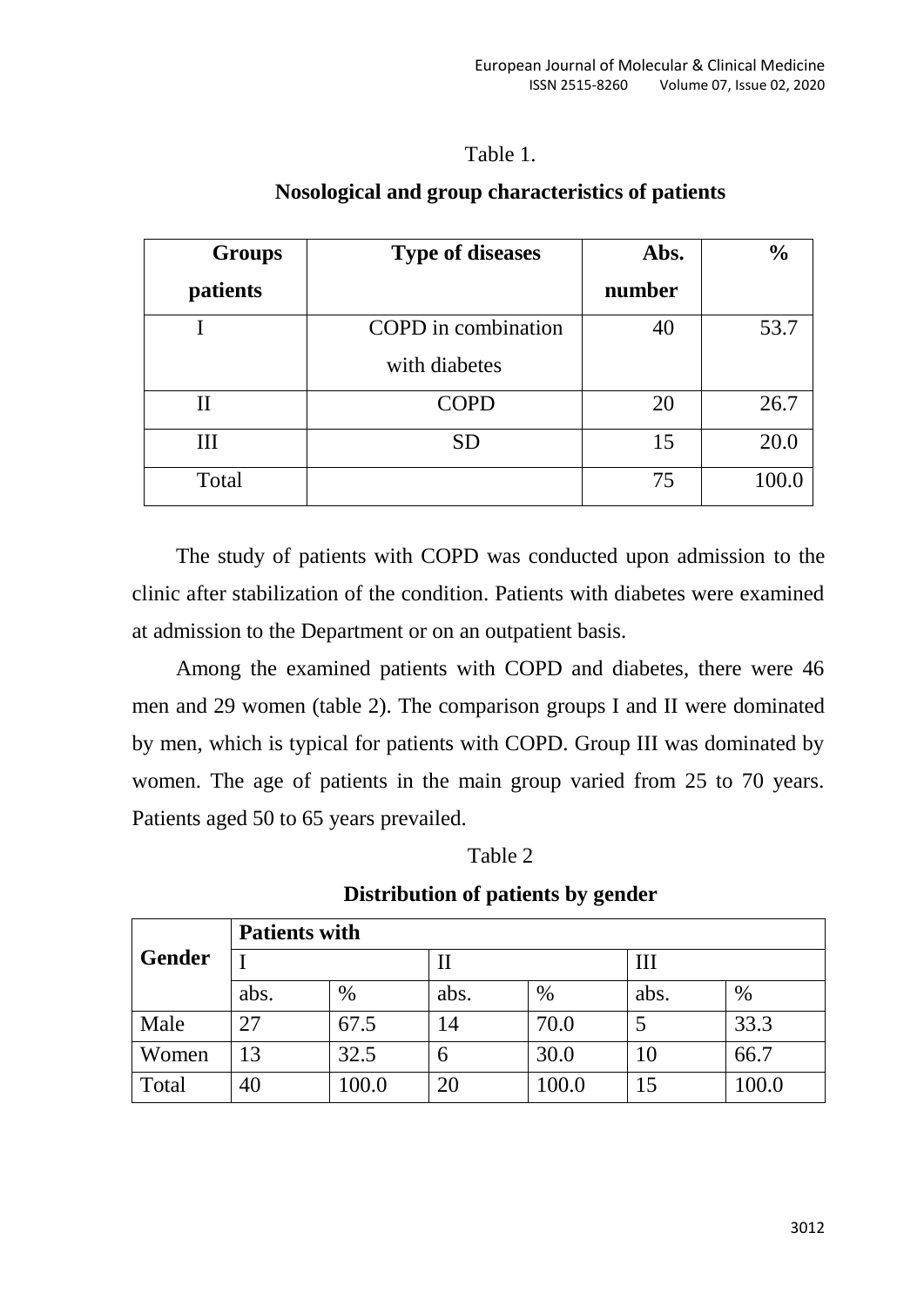## Table 1.

| <b>Groups</b> | <b>Type of diseases</b> | Abs.   | $\frac{0}{0}$ |
|---------------|-------------------------|--------|---------------|
| patients      |                         | number |               |
|               | COPD in combination     | 40     | 53.7          |
|               | with diabetes           |        |               |
| П             | <b>COPD</b>             | 20     | 26.7          |
| Ш             | <b>SD</b>               | 15     | 20.0          |
| Total         |                         | 75     | 100.0         |

## **Nosological and group characteristics of patients**

The study of patients with COPD was conducted upon admission to the clinic after stabilization of the condition. Patients with diabetes were examined at admission to the Department or on an outpatient basis.

Among the examined patients with COPD and diabetes, there were 46 men and 29 women (table 2). The comparison groups I and II were dominated by men, which is typical for patients with COPD. Group III was dominated by women. The age of patients in the main group varied from 25 to 70 years. Patients aged 50 to 65 years prevailed.

| `able |
|-------|
|-------|

| Gender | <b>Patients with</b> |       |      |       |      |       |  |
|--------|----------------------|-------|------|-------|------|-------|--|
|        |                      |       | П    |       | Ш    |       |  |
|        | abs.                 | $\%$  | abs. | $\%$  | abs. | $\%$  |  |
| Male   | 27                   | 67.5  | 14   | 70.0  |      | 33.3  |  |
| Women  | 13                   | 32.5  | 6    | 30.0  | 10   | 66.7  |  |
| Total  | 40                   | 100.0 | 20   | 100.0 | 15   | 100.0 |  |

## **Distribution of patients by gender**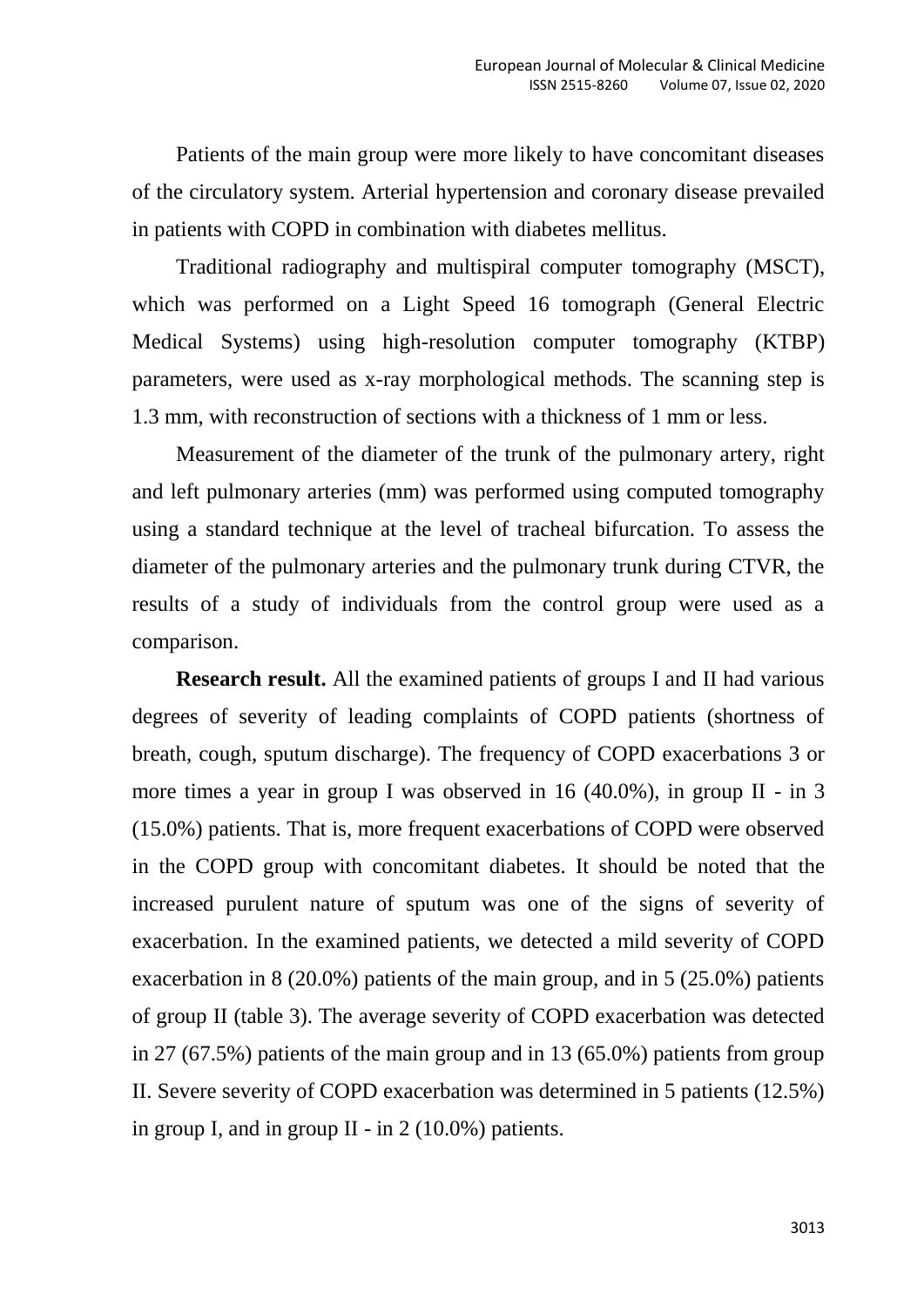Patients of the main group were more likely to have concomitant diseases of the circulatory system. Arterial hypertension and coronary disease prevailed in patients with COPD in combination with diabetes mellitus.

Traditional radiography and multispiral computer tomography (MSCT), which was performed on a Light Speed 16 tomograph (General Electric Medical Systems) using high-resolution computer tomography (KTBP) parameters, were used as x-ray morphological methods. The scanning step is 1.3 mm, with reconstruction of sections with a thickness of 1 mm or less.

Measurement of the diameter of the trunk of the pulmonary artery, right and left pulmonary arteries (mm) was performed using computed tomography using a standard technique at the level of tracheal bifurcation. To assess the diameter of the pulmonary arteries and the pulmonary trunk during CTVR, the results of a study of individuals from the control group were used as a comparison.

**Research result.** All the examined patients of groups I and II had various degrees of severity of leading complaints of COPD patients (shortness of breath, cough, sputum discharge). The frequency of COPD exacerbations 3 or more times a year in group I was observed in 16 (40.0%), in group II - in 3 (15.0%) patients. That is, more frequent exacerbations of COPD were observed in the COPD group with concomitant diabetes. It should be noted that the increased purulent nature of sputum was one of the signs of severity of exacerbation. In the examined patients, we detected a mild severity of COPD exacerbation in 8 (20.0%) patients of the main group, and in 5 (25.0%) patients of group II (table 3). The average severity of COPD exacerbation was detected in 27 (67.5%) patients of the main group and in 13 (65.0%) patients from group II. Severe severity of COPD exacerbation was determined in 5 patients (12.5%) in group I, and in group II - in  $2(10.0\%)$  patients.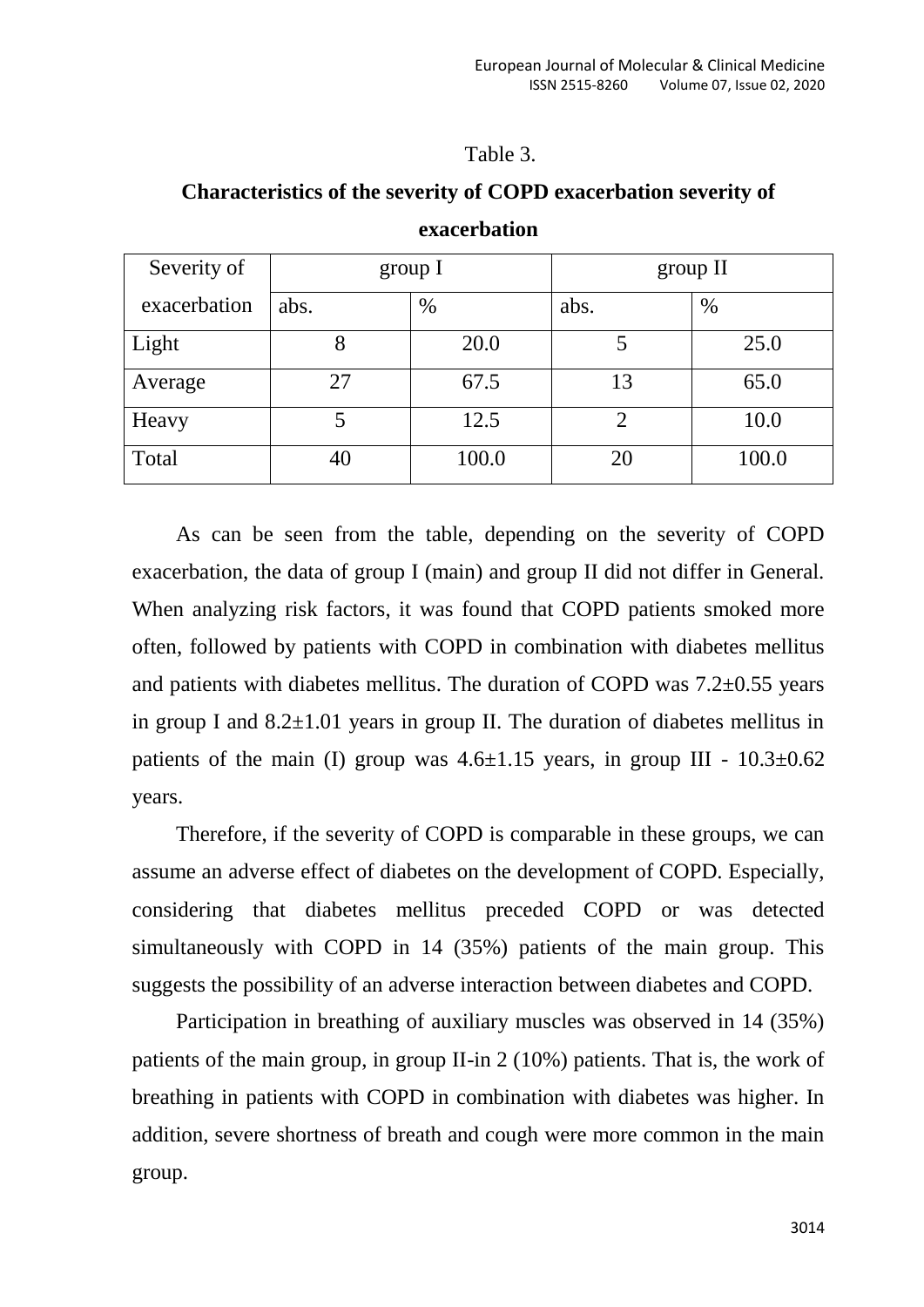### Table 3.

| Severity of  | group I |       | group II |       |
|--------------|---------|-------|----------|-------|
| exacerbation | abs.    | %     | abs.     | $\%$  |
| Light        |         | 20.0  |          | 25.0  |
| Average      | 27      | 67.5  | 13       | 65.0  |
| Heavy        |         | 12.5  |          | 10.0  |
| Total        | 40      | 100.0 | 20       | 100.0 |

## **Characteristics of the severity of COPD exacerbation severity of exacerbation**

As can be seen from the table, depending on the severity of COPD exacerbation, the data of group I (main) and group II did not differ in General. When analyzing risk factors, it was found that COPD patients smoked more often, followed by patients with COPD in combination with diabetes mellitus and patients with diabetes mellitus. The duration of COPD was  $7.2\pm0.55$  years in group I and  $8.2\pm1.01$  years in group II. The duration of diabetes mellitus in patients of the main (I) group was  $4.6\pm1.15$  years, in group III -  $10.3\pm0.62$ years.

Therefore, if the severity of COPD is comparable in these groups, we can assume an adverse effect of diabetes on the development of COPD. Especially, considering that diabetes mellitus preceded COPD or was detected simultaneously with COPD in 14 (35%) patients of the main group. This suggests the possibility of an adverse interaction between diabetes and COPD.

Participation in breathing of auxiliary muscles was observed in 14 (35%) patients of the main group, in group II-in 2 (10%) patients. That is, the work of breathing in patients with COPD in combination with diabetes was higher. In addition, severe shortness of breath and cough were more common in the main group.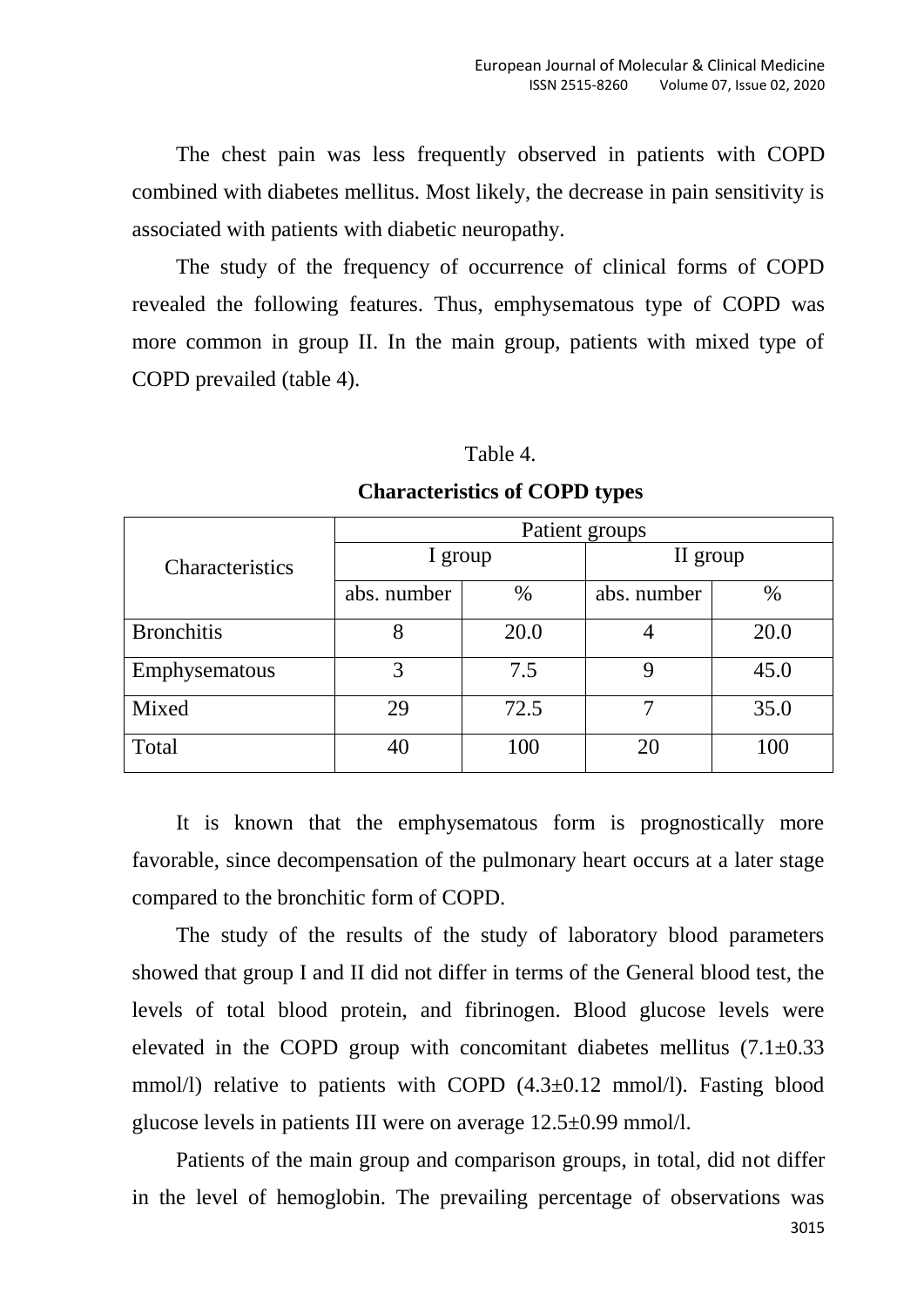The chest pain was less frequently observed in patients with COPD combined with diabetes mellitus. Most likely, the decrease in pain sensitivity is associated with patients with diabetic neuropathy.

The study of the frequency of occurrence of clinical forms of COPD revealed the following features. Thus, emphysematous type of COPD was more common in group II. In the main group, patients with mixed type of COPD prevailed (table 4).

#### Table 4.

|                   | Patient groups |      |             |      |  |  |
|-------------------|----------------|------|-------------|------|--|--|
| Characteristics   | I group        |      | II group    |      |  |  |
|                   | abs. number    | $\%$ | abs. number | $\%$ |  |  |
| <b>Bronchitis</b> | 8              | 20.0 |             | 20.0 |  |  |
| Emphysematous     | 3              | 7.5  |             | 45.0 |  |  |
| Mixed             | 29             | 72.5 | ⇁           | 35.0 |  |  |
| Total             | 40             | 100  | 20          | 100  |  |  |

## **Characteristics of COPD types**

It is known that the emphysematous form is prognostically more favorable, since decompensation of the pulmonary heart occurs at a later stage compared to the bronchitic form of COPD.

The study of the results of the study of laboratory blood parameters showed that group I and II did not differ in terms of the General blood test, the levels of total blood protein, and fibrinogen. Blood glucose levels were elevated in the COPD group with concomitant diabetes mellitus  $(7.1\pm0.33)$ mmol/l) relative to patients with COPD  $(4.3\pm0.12 \text{ mmol/l})$ . Fasting blood glucose levels in patients III were on average 12.5±0.99 mmol/l.

Patients of the main group and comparison groups, in total, did not differ in the level of hemoglobin. The prevailing percentage of observations was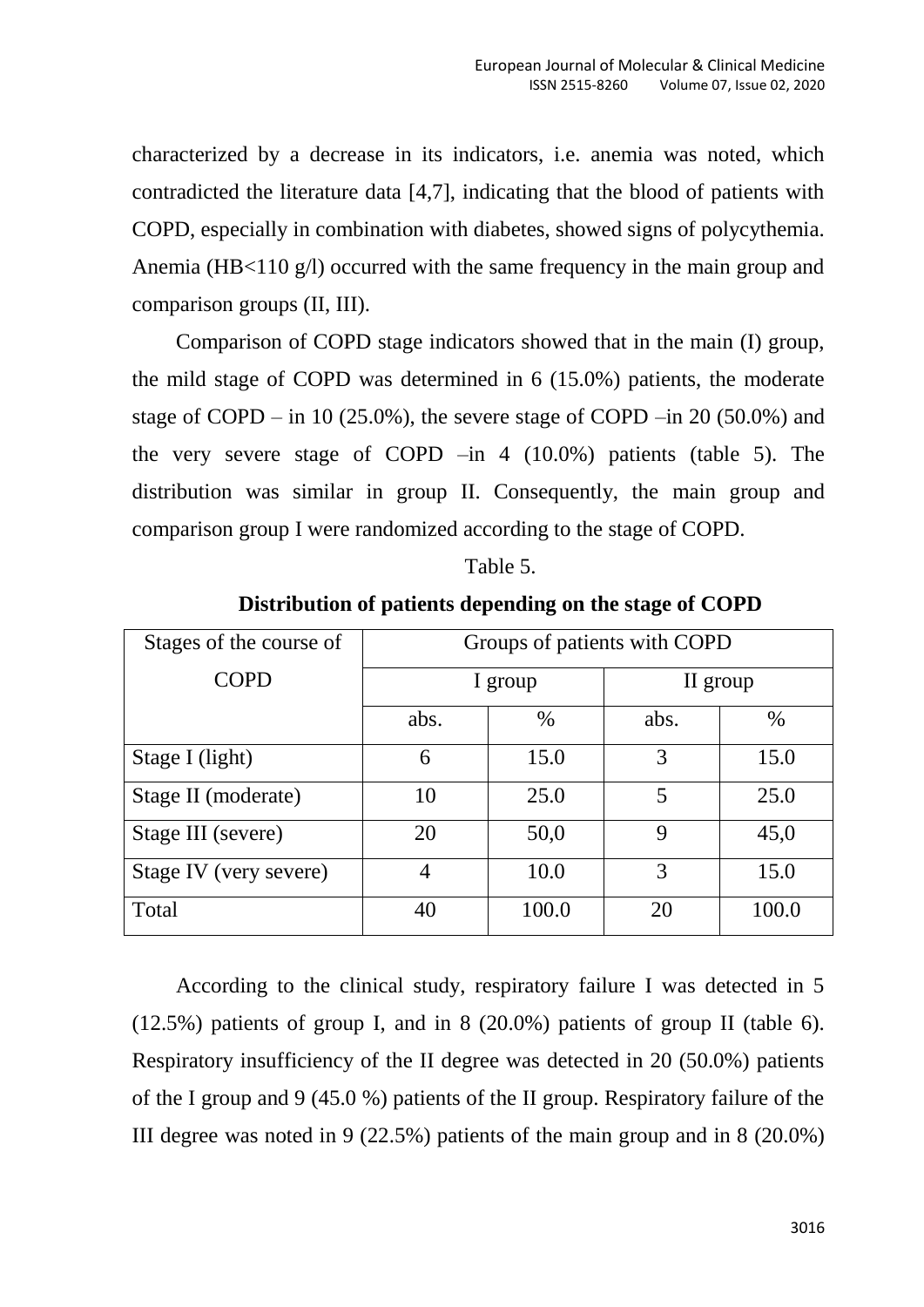characterized by a decrease in its indicators, i.e. anemia was noted, which contradicted the literature data [4,7], indicating that the blood of patients with COPD, especially in combination with diabetes, showed signs of polycythemia. Anemia (HB<110 g/l) occurred with the same frequency in the main group and comparison groups (II, III).

Comparison of COPD stage indicators showed that in the main (I) group, the mild stage of COPD was determined in 6 (15.0%) patients, the moderate stage of COPD – in 10 (25.0%), the severe stage of COPD – in 20 (50.0%) and the very severe stage of COPD  $-$ in 4 (10.0%) patients (table 5). The distribution was similar in group II. Consequently, the main group and comparison group I were randomized according to the stage of COPD.

| able |  |
|------|--|
|      |  |

| Stages of the course of | Groups of patients with COPD |       |          |       |  |
|-------------------------|------------------------------|-------|----------|-------|--|
| <b>COPD</b>             | I group                      |       | II group |       |  |
|                         | abs.                         | $\%$  | abs.     | $\%$  |  |
| Stage I (light)         | 6                            | 15.0  | 3        | 15.0  |  |
| Stage II (moderate)     | 10                           | 25.0  | 5        | 25.0  |  |
| Stage III (severe)      | 20                           | 50,0  | 9        | 45,0  |  |
| Stage IV (very severe)  | 4                            | 10.0  | 3        | 15.0  |  |
| Total                   | 40                           | 100.0 | 20       | 100.0 |  |

**Distribution of patients depending on the stage of COPD**

According to the clinical study, respiratory failure I was detected in 5 (12.5%) patients of group I, and in 8 (20.0%) patients of group II (table 6). Respiratory insufficiency of the II degree was detected in 20 (50.0%) patients of the I group and 9 (45.0 %) patients of the II group. Respiratory failure of the III degree was noted in 9 (22.5%) patients of the main group and in 8 (20.0%)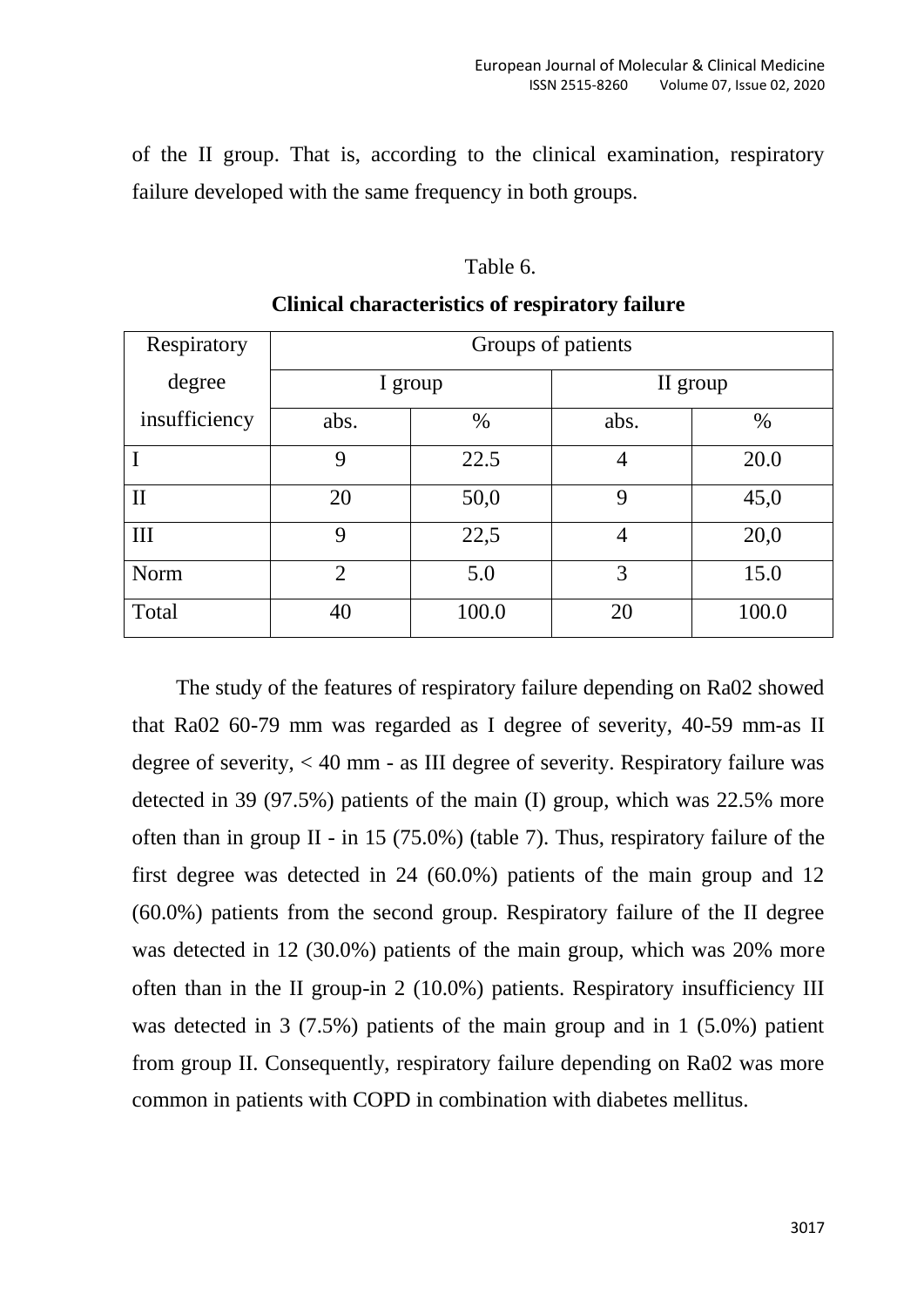of the II group. That is, according to the clinical examination, respiratory failure developed with the same frequency in both groups.

#### Table 6.

| Respiratory   | Groups of patients |       |                |          |  |
|---------------|--------------------|-------|----------------|----------|--|
| degree        | I group            |       |                | II group |  |
| insufficiency | abs.               | $\%$  | abs.           | $\%$     |  |
|               | 9                  | 22.5  | $\overline{4}$ | 20.0     |  |
| $\rm II$      | 20                 | 50,0  | 9              | 45,0     |  |
| Ш             | 9                  | 22,5  | 4              | 20,0     |  |
| <b>Norm</b>   | $\overline{2}$     | 5.0   | 3              | 15.0     |  |
| Total         | 40                 | 100.0 | 20             | 100.0    |  |

## **Clinical characteristics of respiratory failure**

The study of the features of respiratory failure depending on Ra02 showed that Ra02 60-79 mm was regarded as I degree of severity, 40-59 mm-as II degree of severity, < 40 mm - as III degree of severity. Respiratory failure was detected in 39 (97.5%) patients of the main (I) group, which was 22.5% more often than in group II - in 15 (75.0%) (table 7). Thus, respiratory failure of the first degree was detected in 24 (60.0%) patients of the main group and 12 (60.0%) patients from the second group. Respiratory failure of the II degree was detected in 12 (30.0%) patients of the main group, which was 20% more often than in the II group-in 2 (10.0%) patients. Respiratory insufficiency III was detected in 3 (7.5%) patients of the main group and in 1 (5.0%) patient from group II. Consequently, respiratory failure depending on Ra02 was more common in patients with COPD in combination with diabetes mellitus.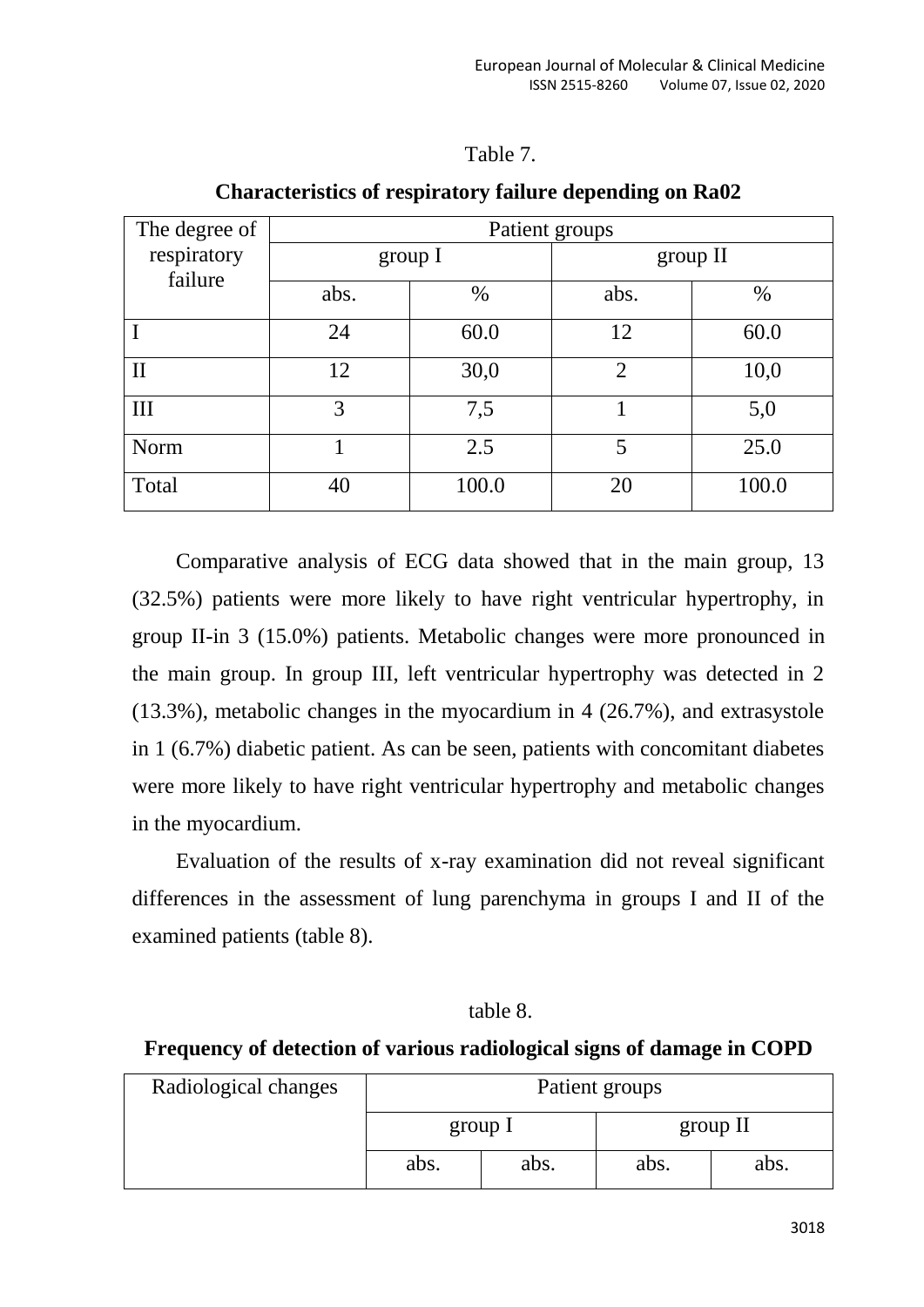## Table 7.

| The degree of | Patient groups |       |                |       |  |
|---------------|----------------|-------|----------------|-------|--|
| respiratory   | group I        |       | group II       |       |  |
| failure       | abs.           | $\%$  | abs.           | $\%$  |  |
|               | 24             | 60.0  | 12             | 60.0  |  |
| $\mathbf{I}$  | 12             | 30,0  | $\overline{2}$ | 10,0  |  |
| III           | 3              | 7,5   |                | 5,0   |  |
| Norm          |                | 2.5   | 5              | 25.0  |  |
| Total         | 40             | 100.0 | 20             | 100.0 |  |

## **Characteristics of respiratory failure depending on Ra02**

Comparative analysis of ECG data showed that in the main group, 13 (32.5%) patients were more likely to have right ventricular hypertrophy, in group II-in 3 (15.0%) patients. Metabolic changes were more pronounced in the main group. In group III, left ventricular hypertrophy was detected in 2 (13.3%), metabolic changes in the myocardium in 4 (26.7%), and extrasystole in 1 (6.7%) diabetic patient. As can be seen, patients with concomitant diabetes were more likely to have right ventricular hypertrophy and metabolic changes in the myocardium.

Evaluation of the results of x-ray examination did not reveal significant differences in the assessment of lung parenchyma in groups I and II of the examined patients (table 8).

table 8.

## **Frequency of detection of various radiological signs of damage in COPD**

| Radiological changes | Patient groups |  |          |      |
|----------------------|----------------|--|----------|------|
|                      | group I        |  | group II |      |
|                      | abs.<br>abs.   |  | abs.     | abs. |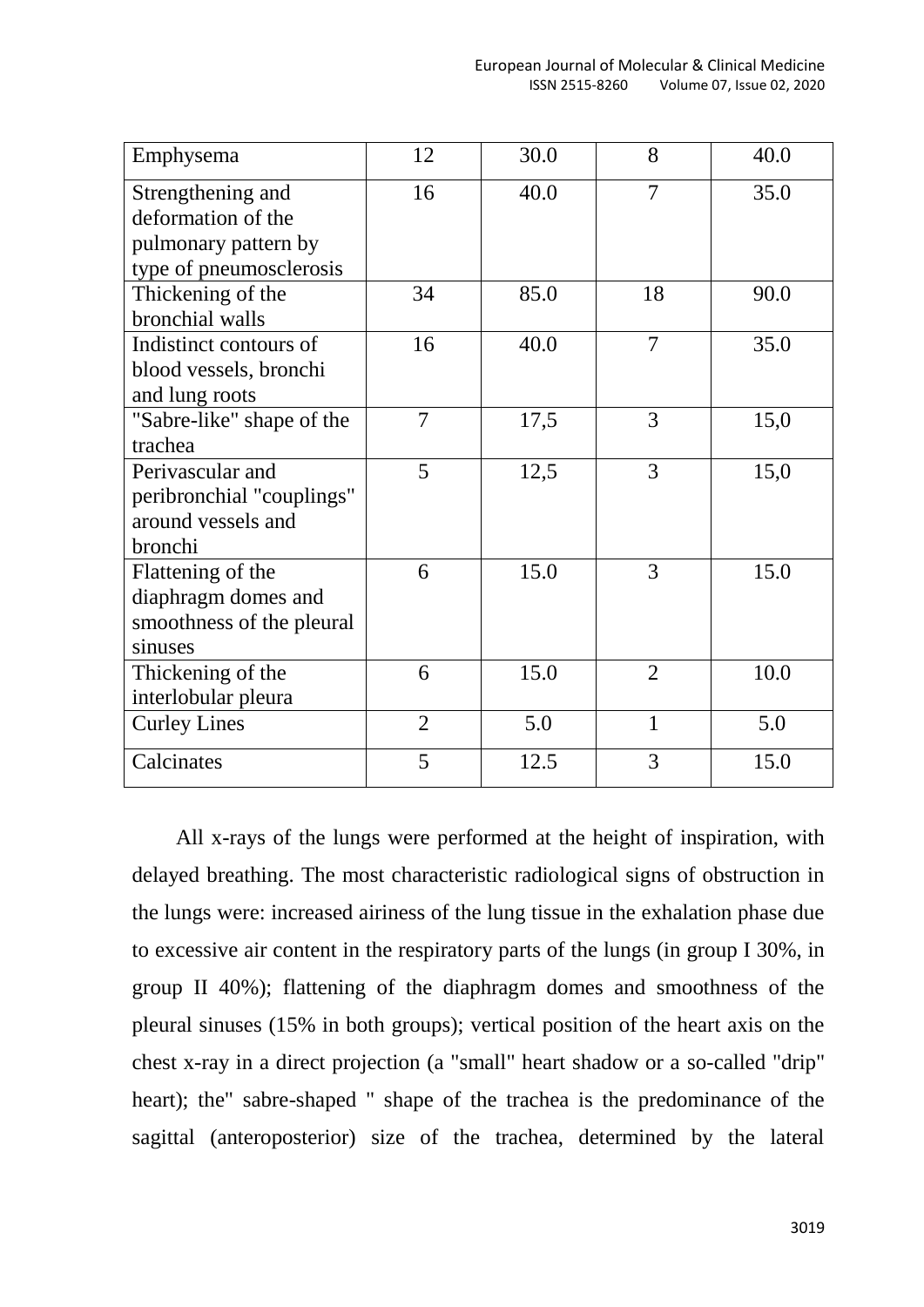| Emphysema                 | 12             | 30.0 | 8              | 40.0 |
|---------------------------|----------------|------|----------------|------|
| Strengthening and         | 16             | 40.0 | 7              | 35.0 |
| deformation of the        |                |      |                |      |
| pulmonary pattern by      |                |      |                |      |
| type of pneumosclerosis   |                |      |                |      |
| Thickening of the         | 34             | 85.0 | 18             | 90.0 |
| bronchial walls           |                |      |                |      |
| Indistinct contours of    | 16             | 40.0 | 7              | 35.0 |
| blood vessels, bronchi    |                |      |                |      |
| and lung roots            |                |      |                |      |
| "Sabre-like" shape of the | $\overline{7}$ | 17,5 | 3              | 15,0 |
| trachea                   |                |      |                |      |
| Perivascular and          | 5              | 12,5 | 3              | 15,0 |
| peribronchial "couplings" |                |      |                |      |
| around vessels and        |                |      |                |      |
| bronchi                   |                |      |                |      |
| Flattening of the         | 6              | 15.0 | 3              | 15.0 |
| diaphragm domes and       |                |      |                |      |
| smoothness of the pleural |                |      |                |      |
| sinuses                   |                |      |                |      |
| Thickening of the         | 6              | 15.0 | $\overline{2}$ | 10.0 |
| interlobular pleura       |                |      |                |      |
| <b>Curley Lines</b>       | $\overline{2}$ | 5.0  | $\mathbf{1}$   | 5.0  |
| Calcinates                | 5              | 12.5 | 3              | 15.0 |

All x-rays of the lungs were performed at the height of inspiration, with delayed breathing. The most characteristic radiological signs of obstruction in the lungs were: increased airiness of the lung tissue in the exhalation phase due to excessive air content in the respiratory parts of the lungs (in group I 30%, in group II 40%); flattening of the diaphragm domes and smoothness of the pleural sinuses (15% in both groups); vertical position of the heart axis on the chest x-ray in a direct projection (a "small" heart shadow or a so-called "drip" heart); the" sabre-shaped " shape of the trachea is the predominance of the sagittal (anteroposterior) size of the trachea, determined by the lateral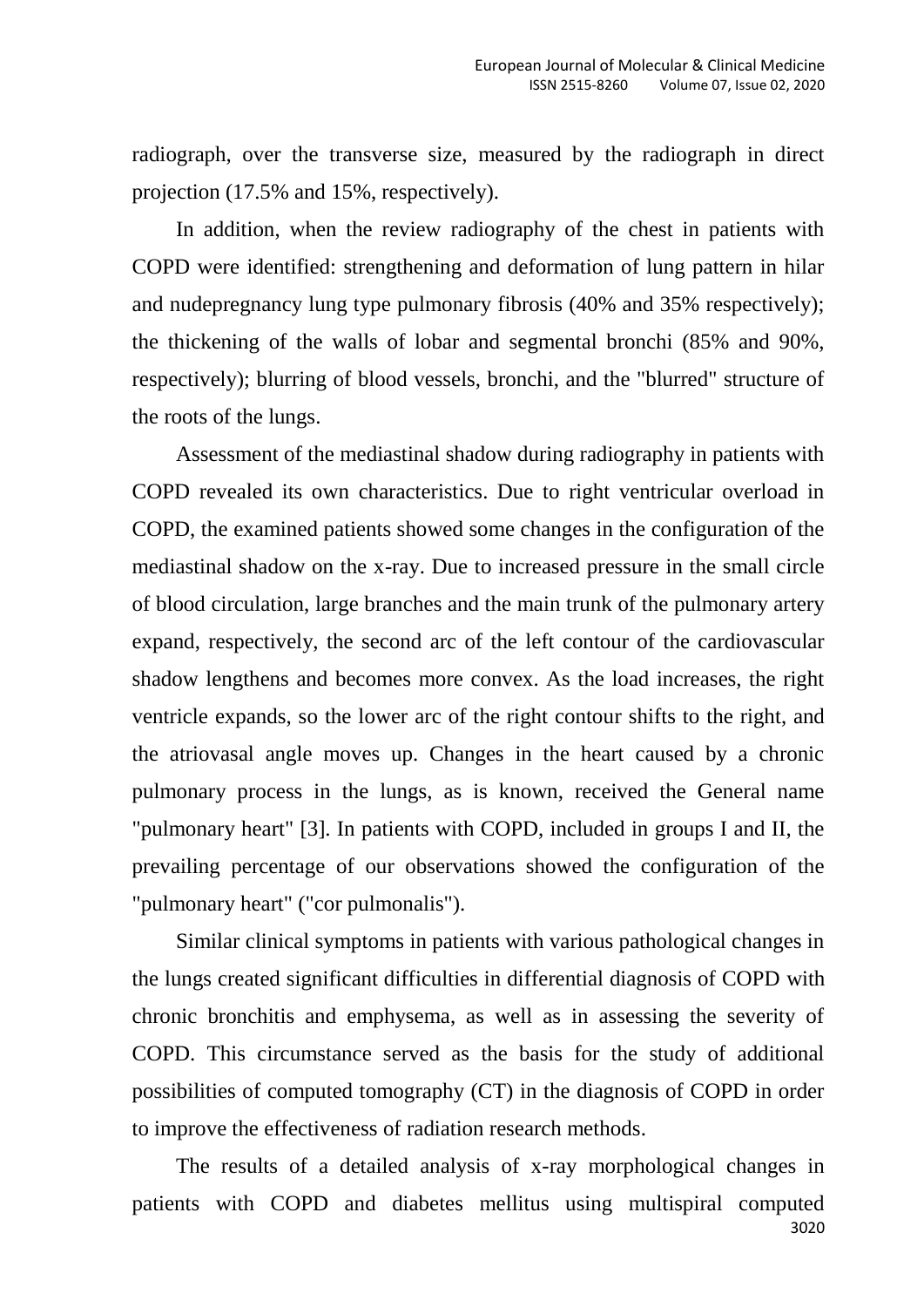radiograph, over the transverse size, measured by the radiograph in direct projection (17.5% and 15%, respectively).

In addition, when the review radiography of the chest in patients with COPD were identified: strengthening and deformation of lung pattern in hilar and nudepregnancy lung type pulmonary fibrosis (40% and 35% respectively); the thickening of the walls of lobar and segmental bronchi (85% and 90%, respectively); blurring of blood vessels, bronchi, and the "blurred" structure of the roots of the lungs.

Assessment of the mediastinal shadow during radiography in patients with COPD revealed its own characteristics. Due to right ventricular overload in COPD, the examined patients showed some changes in the configuration of the mediastinal shadow on the x-ray. Due to increased pressure in the small circle of blood circulation, large branches and the main trunk of the pulmonary artery expand, respectively, the second arc of the left contour of the cardiovascular shadow lengthens and becomes more convex. As the load increases, the right ventricle expands, so the lower arc of the right contour shifts to the right, and the atriovasal angle moves up. Changes in the heart caused by a chronic pulmonary process in the lungs, as is known, received the General name "pulmonary heart" [3]. In patients with COPD, included in groups I and II, the prevailing percentage of our observations showed the configuration of the "pulmonary heart" ("cor pulmonalis").

Similar clinical symptoms in patients with various pathological changes in the lungs created significant difficulties in differential diagnosis of COPD with chronic bronchitis and emphysema, as well as in assessing the severity of COPD. This circumstance served as the basis for the study of additional possibilities of computed tomography (CT) in the diagnosis of COPD in order to improve the effectiveness of radiation research methods.

3020 The results of a detailed analysis of x-ray morphological changes in patients with COPD and diabetes mellitus using multispiral computed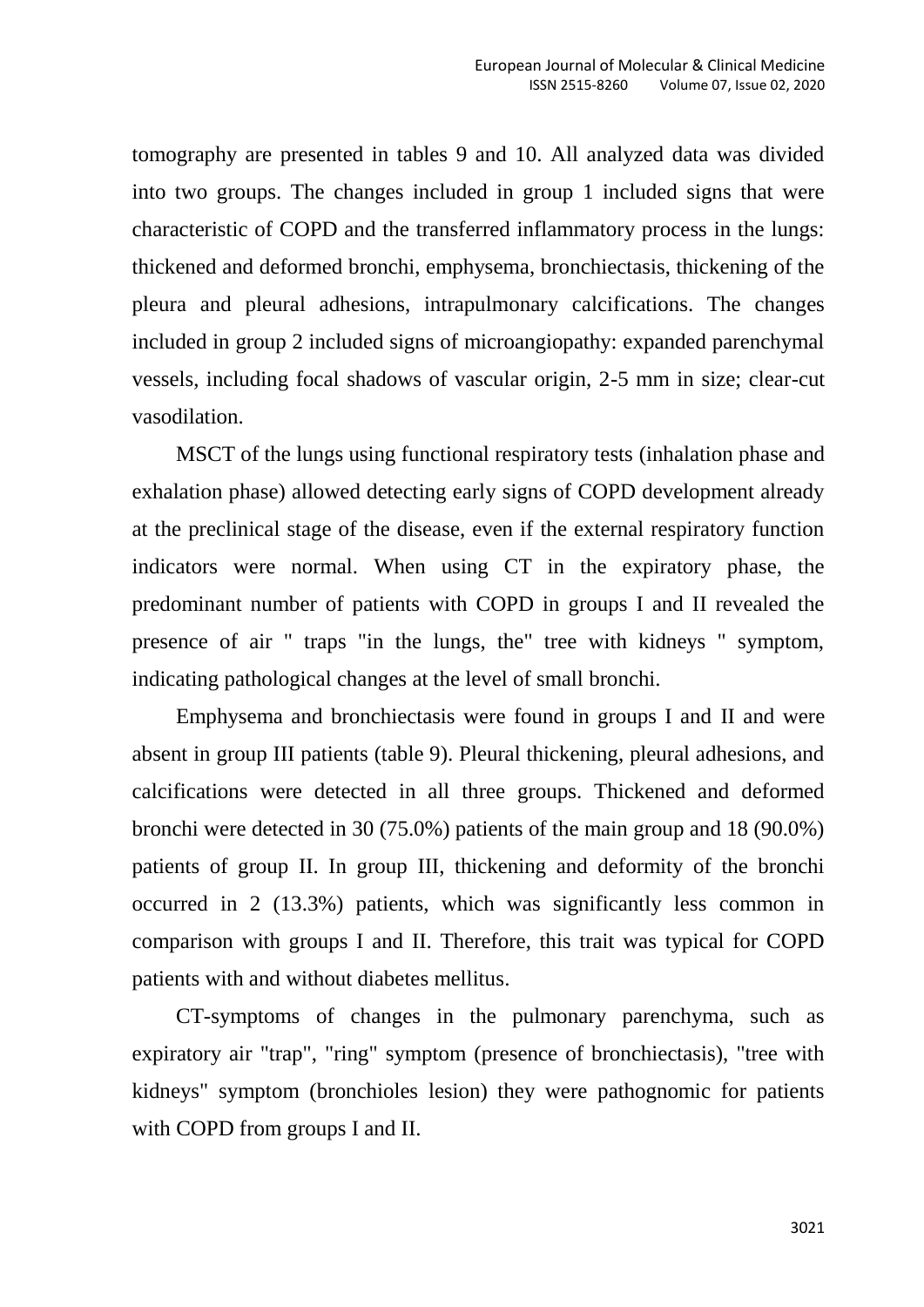tomography are presented in tables 9 and 10. All analyzed data was divided into two groups. The changes included in group 1 included signs that were characteristic of COPD and the transferred inflammatory process in the lungs: thickened and deformed bronchi, emphysema, bronchiectasis, thickening of the pleura and pleural adhesions, intrapulmonary calcifications. The changes included in group 2 included signs of microangiopathy: expanded parenchymal vessels, including focal shadows of vascular origin, 2-5 mm in size; clear-cut vasodilation.

MSCT of the lungs using functional respiratory tests (inhalation phase and exhalation phase) allowed detecting early signs of COPD development already at the preclinical stage of the disease, even if the external respiratory function indicators were normal. When using CT in the expiratory phase, the predominant number of patients with COPD in groups I and II revealed the presence of air " traps "in the lungs, the" tree with kidneys " symptom, indicating pathological changes at the level of small bronchi.

Emphysema and bronchiectasis were found in groups I and II and were absent in group III patients (table 9). Pleural thickening, pleural adhesions, and calcifications were detected in all three groups. Thickened and deformed bronchi were detected in 30 (75.0%) patients of the main group and 18 (90.0%) patients of group II. In group III, thickening and deformity of the bronchi occurred in 2 (13.3%) patients, which was significantly less common in comparison with groups I and II. Therefore, this trait was typical for COPD patients with and without diabetes mellitus.

CT-symptoms of changes in the pulmonary parenchyma, such as expiratory air "trap", "ring" symptom (presence of bronchiectasis), "tree with kidneys" symptom (bronchioles lesion) they were pathognomic for patients with COPD from groups I and II.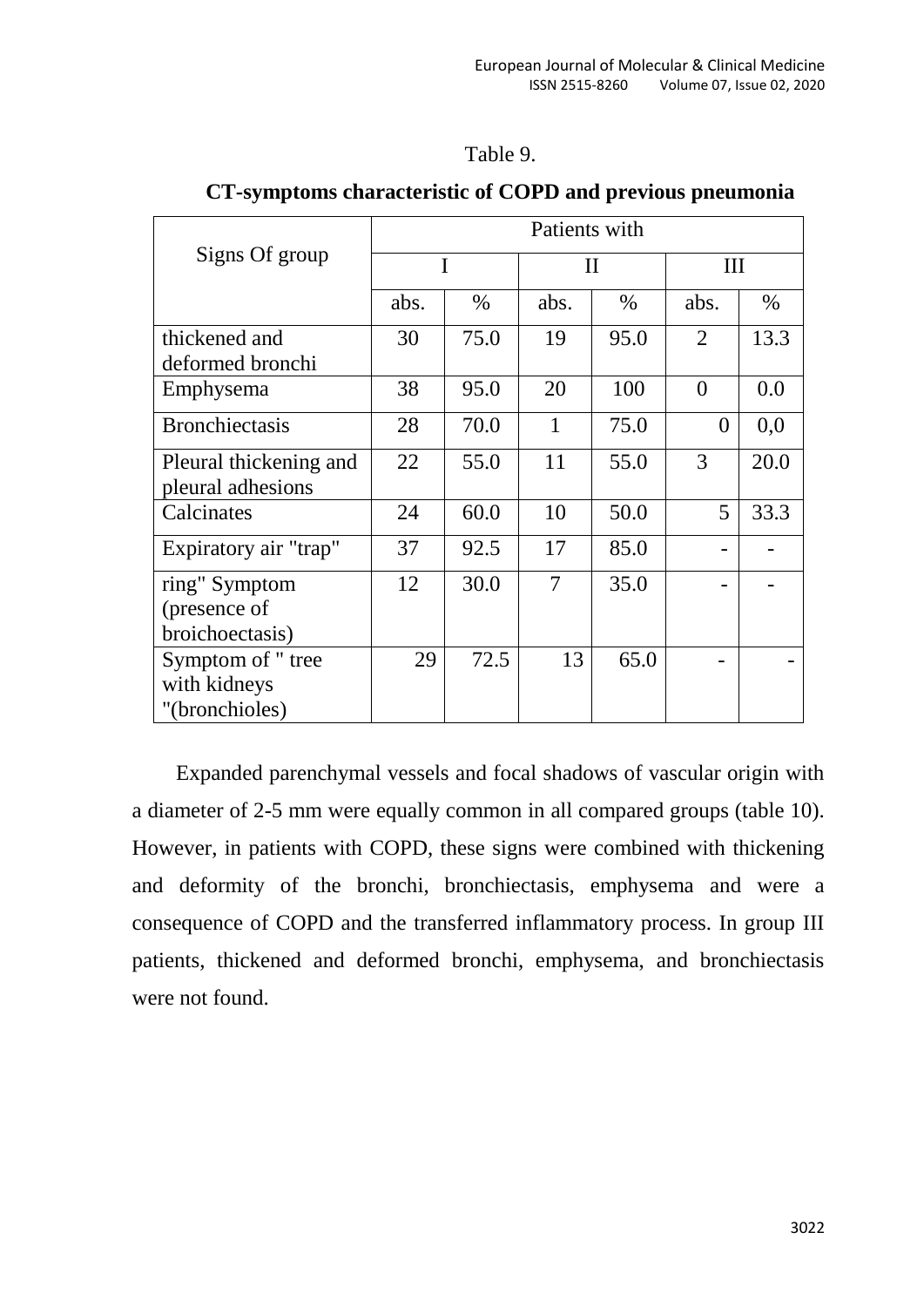| l'able 9 |  |  |
|----------|--|--|
|          |  |  |

|                                                     | Patients with |      |              |      |                |      |
|-----------------------------------------------------|---------------|------|--------------|------|----------------|------|
| Signs Of group                                      | I             |      | $\mathbf{I}$ |      | Ш              |      |
|                                                     | abs.          | $\%$ | abs.         | $\%$ | abs.           | $\%$ |
| thickened and<br>deformed bronchi                   | 30            | 75.0 | 19           | 95.0 | $\overline{2}$ | 13.3 |
| Emphysema                                           | 38            | 95.0 | 20           | 100  | $\theta$       | 0.0  |
| <b>Bronchiectasis</b>                               | 28            | 70.0 | 1            | 75.0 | $\theta$       | 0,0  |
| Pleural thickening and<br>pleural adhesions         | 22            | 55.0 | 11           | 55.0 | 3              | 20.0 |
| Calcinates                                          | 24            | 60.0 | 10           | 50.0 | 5              | 33.3 |
| Expiratory air "trap"                               | 37            | 92.5 | 17           | 85.0 |                |      |
| ring" Symptom<br>(presence of<br>broichoectasis)    | 12            | 30.0 | 7            | 35.0 |                |      |
| Symptom of " tree<br>with kidneys<br>"(bronchioles) | 29            | 72.5 | 13           | 65.0 |                |      |

## **CT-symptoms characteristic of COPD and previous pneumonia**

Expanded parenchymal vessels and focal shadows of vascular origin with a diameter of 2-5 mm were equally common in all compared groups (table 10). However, in patients with COPD, these signs were combined with thickening and deformity of the bronchi, bronchiectasis, emphysema and were a consequence of COPD and the transferred inflammatory process. In group III patients, thickened and deformed bronchi, emphysema, and bronchiectasis were not found.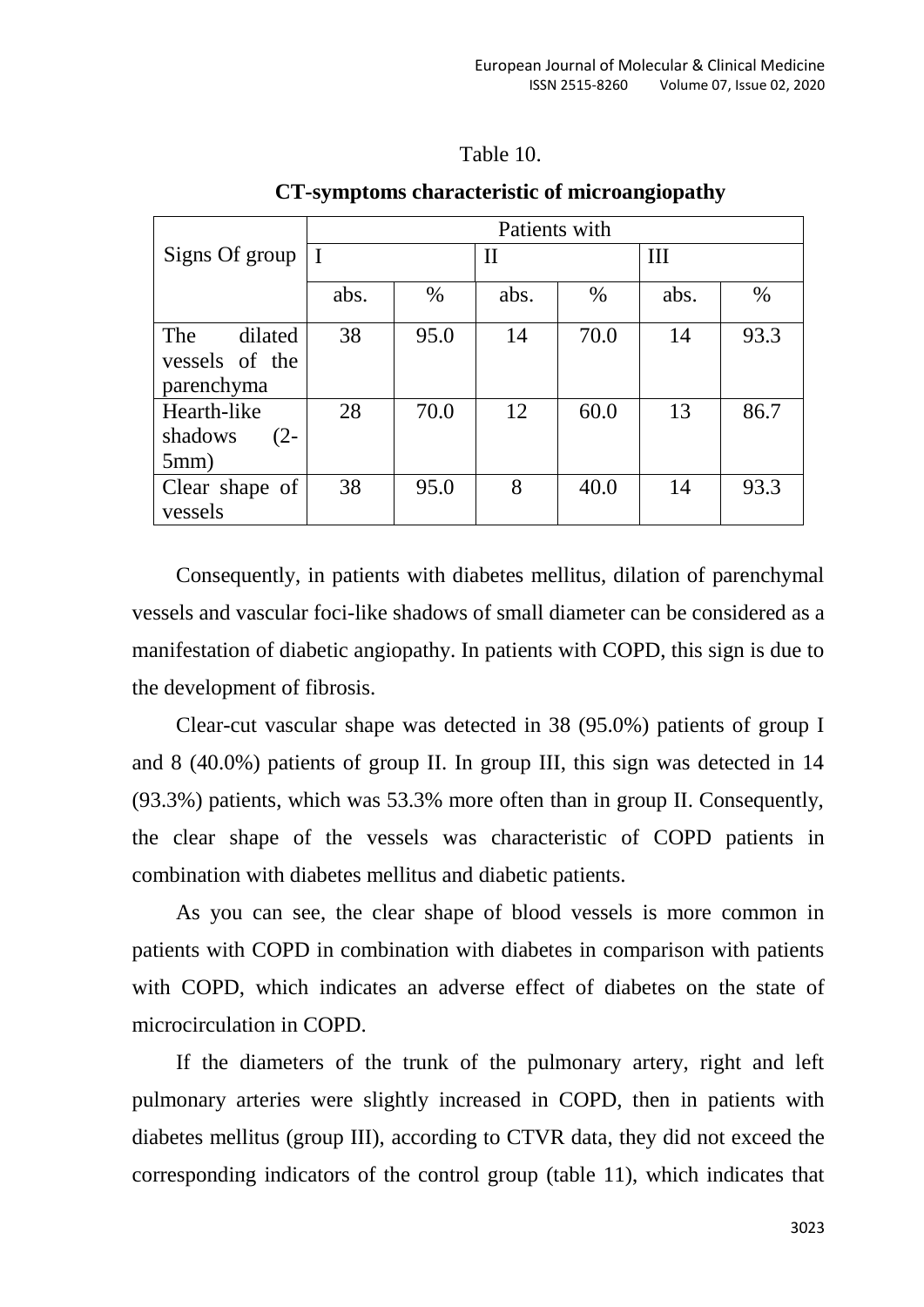#### Table 10.

|                                                | Patients with |      |      |      |      |      |
|------------------------------------------------|---------------|------|------|------|------|------|
| Signs Of group $ I $                           |               |      | П    |      | Ш    |      |
|                                                | abs.          | $\%$ | abs. | $\%$ | abs. | $\%$ |
| dilated<br>The<br>vessels of the<br>parenchyma | 38            | 95.0 | 14   | 70.0 | 14   | 93.3 |
| Hearth-like<br>$(2 -$<br>shadows<br>5mm)       | 28            | 70.0 | 12   | 60.0 | 13   | 86.7 |
| Clear shape of<br>vessels                      | 38            | 95.0 | 8    | 40.0 | 14   | 93.3 |

#### **CT-symptoms characteristic of microangiopathy**

Consequently, in patients with diabetes mellitus, dilation of parenchymal vessels and vascular foci-like shadows of small diameter can be considered as a manifestation of diabetic angiopathy. In patients with COPD, this sign is due to the development of fibrosis.

Clear-cut vascular shape was detected in 38 (95.0%) patients of group I and 8 (40.0%) patients of group II. In group III, this sign was detected in 14 (93.3%) patients, which was 53.3% more often than in group II. Consequently, the clear shape of the vessels was characteristic of COPD patients in combination with diabetes mellitus and diabetic patients.

As you can see, the clear shape of blood vessels is more common in patients with COPD in combination with diabetes in comparison with patients with COPD, which indicates an adverse effect of diabetes on the state of microcirculation in COPD.

If the diameters of the trunk of the pulmonary artery, right and left pulmonary arteries were slightly increased in COPD, then in patients with diabetes mellitus (group III), according to CTVR data, they did not exceed the corresponding indicators of the control group (table 11), which indicates that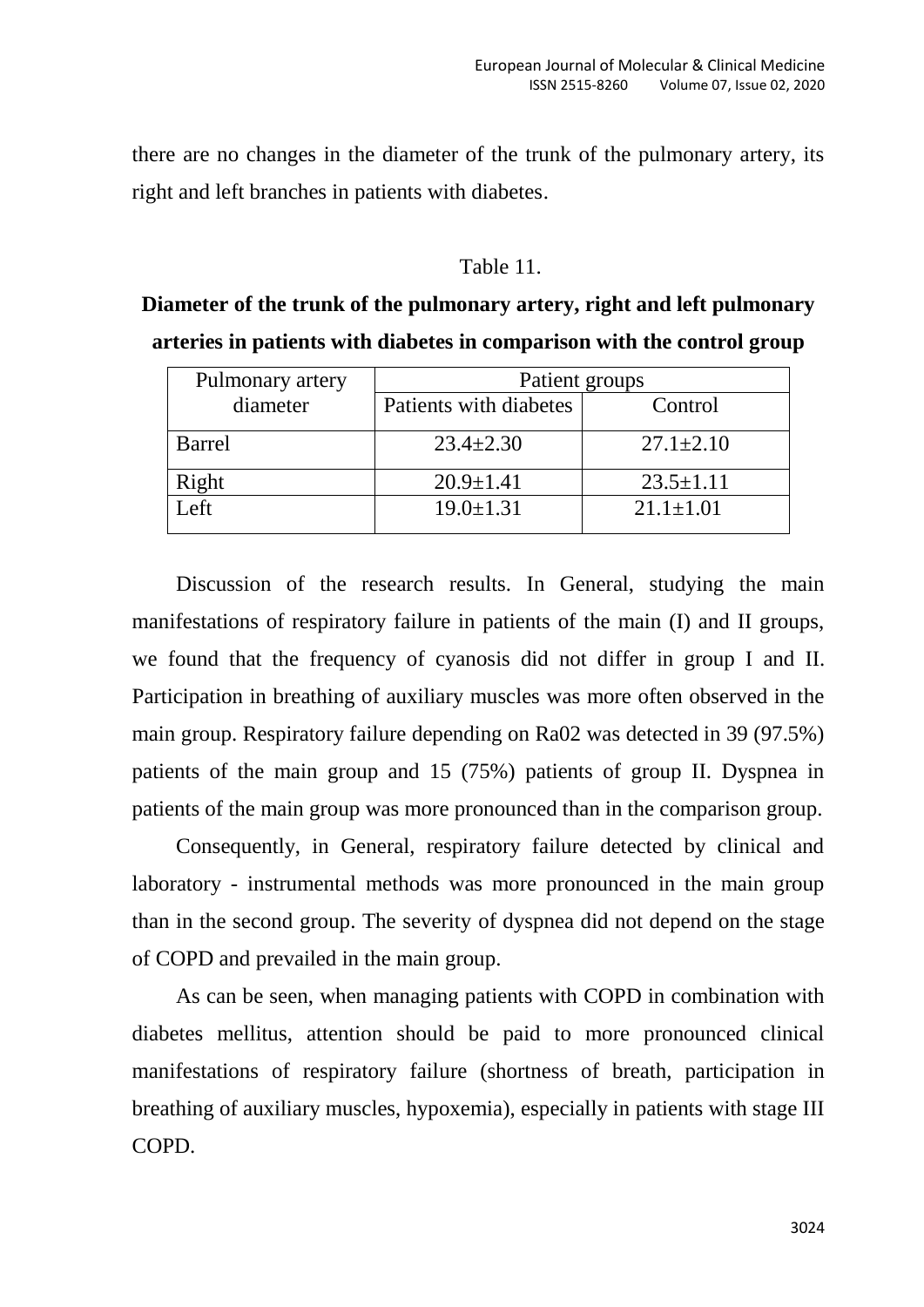there are no changes in the diameter of the trunk of the pulmonary artery, its right and left branches in patients with diabetes.

#### Table 11.

| Diameter of the trunk of the pulmonary artery, right and left pulmonary |
|-------------------------------------------------------------------------|
| arteries in patients with diabetes in comparison with the control group |

| Pulmonary artery | Patient groups         |                 |  |  |
|------------------|------------------------|-----------------|--|--|
| diameter         | Patients with diabetes | Control         |  |  |
| <b>Barrel</b>    | $23.4 \pm 2.30$        | $27.1 \pm 2.10$ |  |  |
| Right            | $20.9 \pm 1.41$        | $23.5 \pm 1.11$ |  |  |
| Left             | $19.0 \pm 1.31$        | $21.1 \pm 1.01$ |  |  |

Discussion of the research results. In General, studying the main manifestations of respiratory failure in patients of the main (I) and II groups, we found that the frequency of cyanosis did not differ in group I and II. Participation in breathing of auxiliary muscles was more often observed in the main group. Respiratory failure depending on Ra02 was detected in 39 (97.5%) patients of the main group and 15 (75%) patients of group II. Dyspnea in patients of the main group was more pronounced than in the comparison group.

Consequently, in General, respiratory failure detected by clinical and laboratory - instrumental methods was more pronounced in the main group than in the second group. The severity of dyspnea did not depend on the stage of COPD and prevailed in the main group.

As can be seen, when managing patients with COPD in combination with diabetes mellitus, attention should be paid to more pronounced clinical manifestations of respiratory failure (shortness of breath, participation in breathing of auxiliary muscles, hypoxemia), especially in patients with stage III COPD.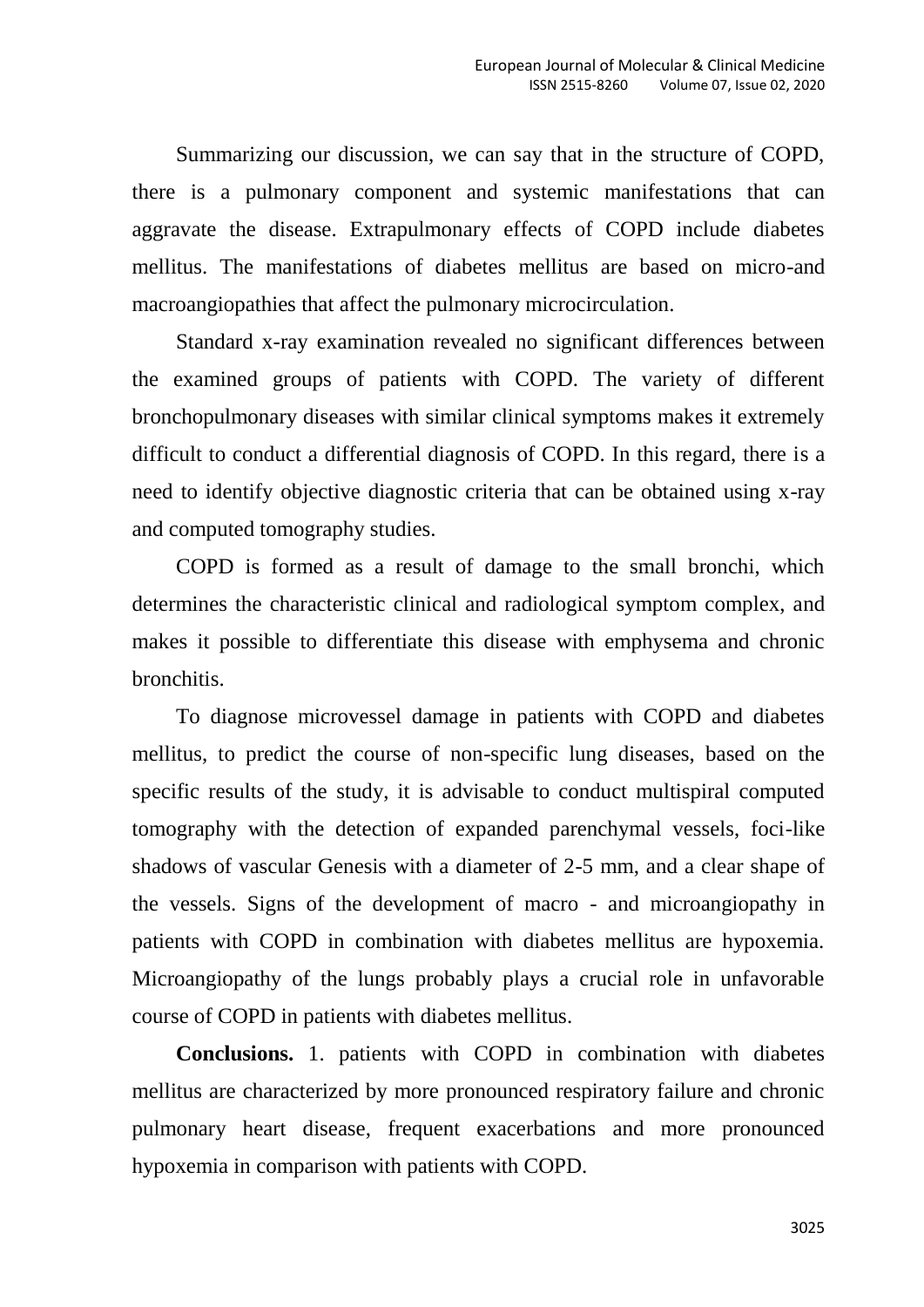Summarizing our discussion, we can say that in the structure of COPD, there is a pulmonary component and systemic manifestations that can aggravate the disease. Extrapulmonary effects of COPD include diabetes mellitus. The manifestations of diabetes mellitus are based on micro-and macroangiopathies that affect the pulmonary microcirculation.

Standard x-ray examination revealed no significant differences between the examined groups of patients with COPD. The variety of different bronchopulmonary diseases with similar clinical symptoms makes it extremely difficult to conduct a differential diagnosis of COPD. In this regard, there is a need to identify objective diagnostic criteria that can be obtained using x-ray and computed tomography studies.

COPD is formed as a result of damage to the small bronchi, which determines the characteristic clinical and radiological symptom complex, and makes it possible to differentiate this disease with emphysema and chronic bronchitis.

To diagnose microvessel damage in patients with COPD and diabetes mellitus, to predict the course of non-specific lung diseases, based on the specific results of the study, it is advisable to conduct multispiral computed tomography with the detection of expanded parenchymal vessels, foci-like shadows of vascular Genesis with a diameter of 2-5 mm, and a clear shape of the vessels. Signs of the development of macro - and microangiopathy in patients with COPD in combination with diabetes mellitus are hypoxemia. Microangiopathy of the lungs probably plays a crucial role in unfavorable course of COPD in patients with diabetes mellitus.

**Conclusions.** 1. patients with COPD in combination with diabetes mellitus are characterized by more pronounced respiratory failure and chronic pulmonary heart disease, frequent exacerbations and more pronounced hypoxemia in comparison with patients with COPD.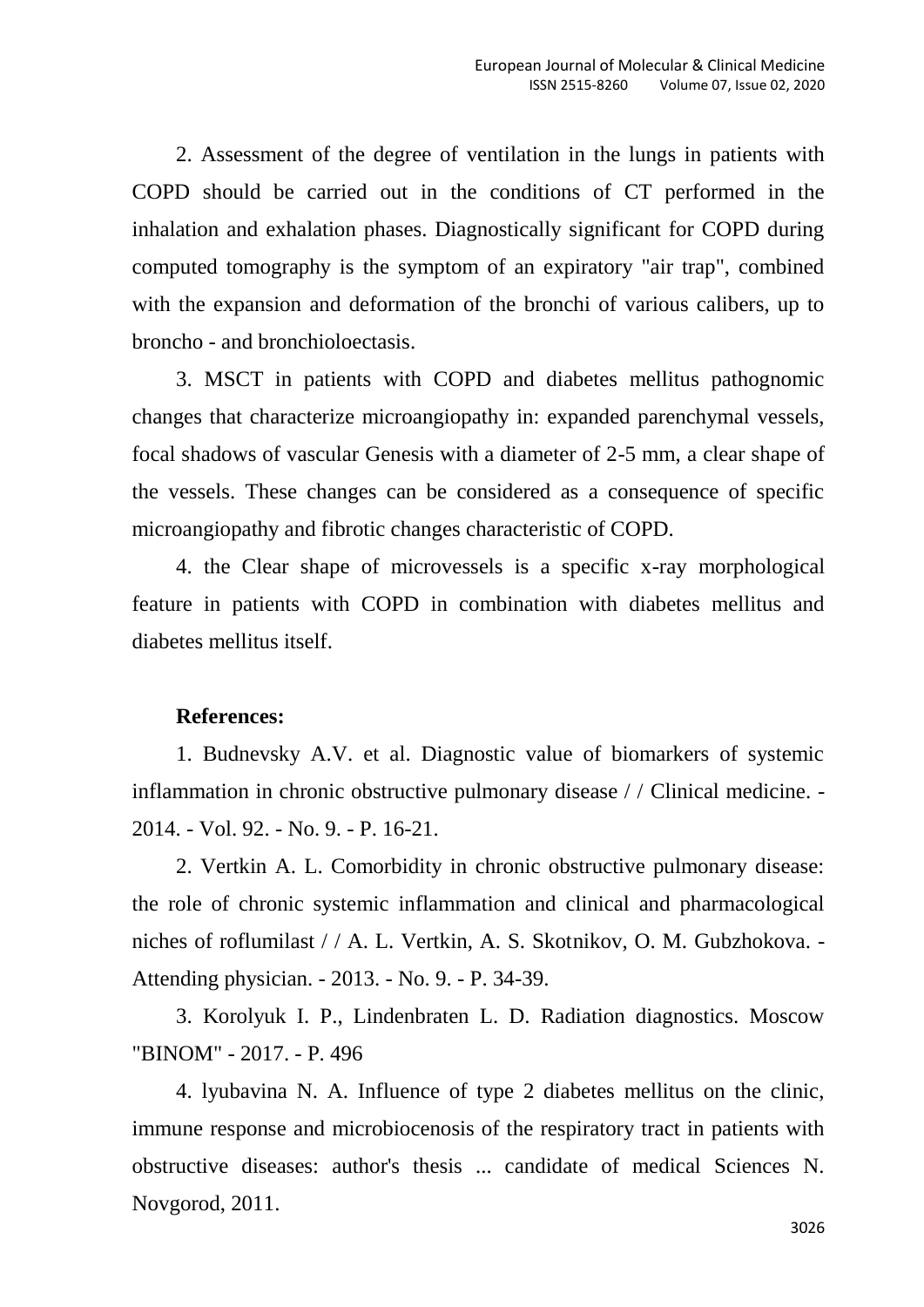2. Assessment of the degree of ventilation in the lungs in patients with COPD should be carried out in the conditions of CT performed in the inhalation and exhalation phases. Diagnostically significant for COPD during computed tomography is the symptom of an expiratory "air trap", combined with the expansion and deformation of the bronchi of various calibers, up to broncho - and bronchioloectasis.

3. MSCT in patients with COPD and diabetes mellitus pathognomic changes that characterize microangiopathy in: expanded parenchymal vessels, focal shadows of vascular Genesis with a diameter of 2-5 mm, a clear shape of the vessels. These changes can be considered as a consequence of specific microangiopathy and fibrotic changes characteristic of COPD.

4. the Clear shape of microvessels is a specific x-ray morphological feature in patients with COPD in combination with diabetes mellitus and diabetes mellitus itself.

## **References:**

1. Budnevsky A.V. et al. Diagnostic value of biomarkers of systemic inflammation in chronic obstructive pulmonary disease / / Clinical medicine. - 2014. - Vol. 92. - No. 9. - P. 16-21.

2. Vertkin A. L. Comorbidity in chronic obstructive pulmonary disease: the role of chronic systemic inflammation and clinical and pharmacological niches of roflumilast / / A. L. Vertkin, A. S. Skotnikov, O. M. Gubzhokova. - Attending physician. - 2013. - No. 9. - P. 34-39.

3. Korolyuk I. P., Lindenbraten L. D. Radiation diagnostics. Moscow "BINOM" - 2017. - P. 496

4. lyubavina N. A. Influence of type 2 diabetes mellitus on the clinic, immune response and microbiocenosis of the respiratory tract in patients with obstructive diseases: author's thesis ... candidate of medical Sciences N. Novgorod, 2011.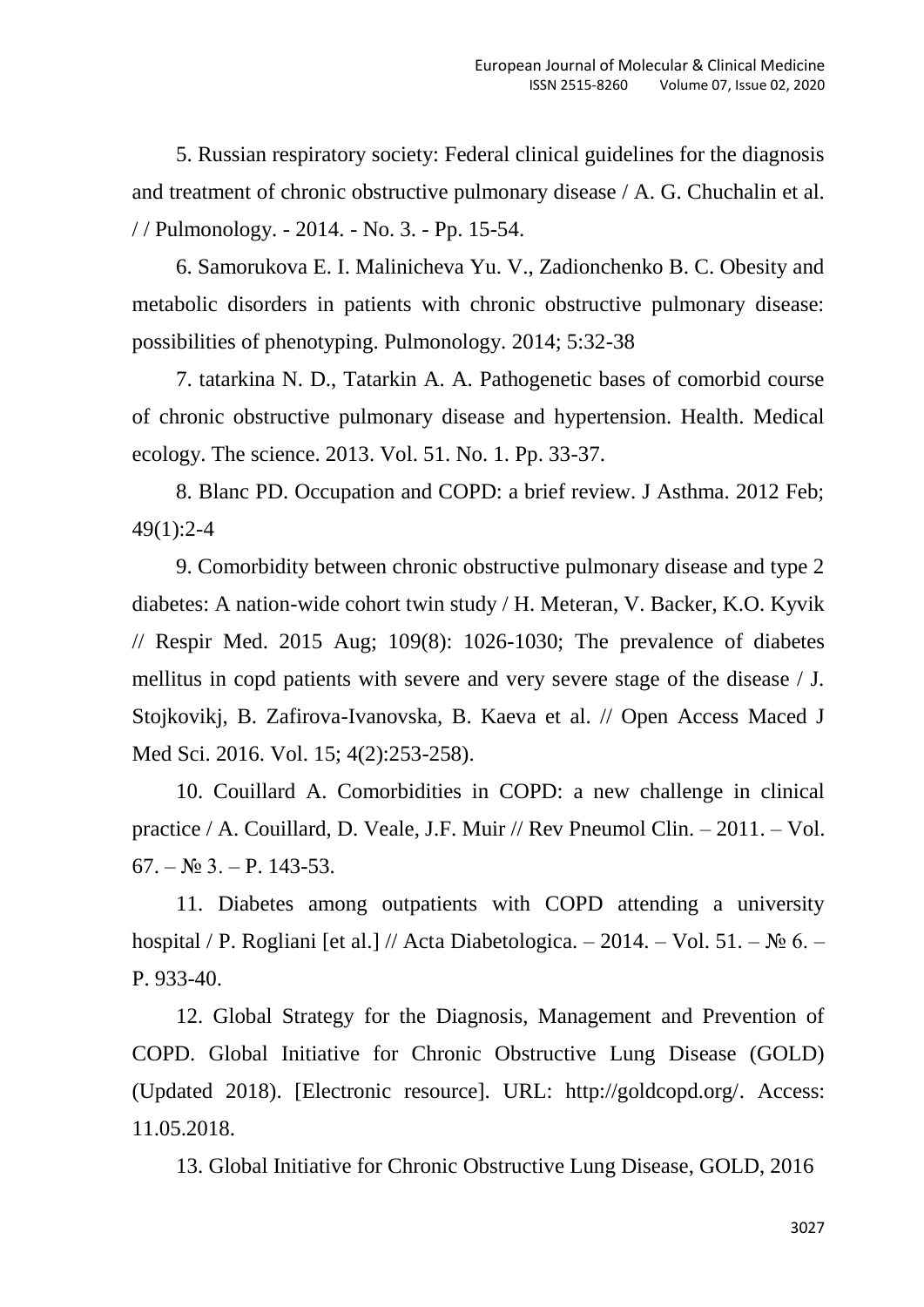5. Russian respiratory society: Federal clinical guidelines for the diagnosis and treatment of chronic obstructive pulmonary disease / A. G. Chuchalin et al. / / Pulmonology. - 2014. - No. 3. - Pp. 15-54.

6. Samorukova E. I. Malinicheva Yu. V., Zadionchenko B. C. Obesity and metabolic disorders in patients with chronic obstructive pulmonary disease: possibilities of phenotyping. Pulmonology. 2014; 5:32-38

7. tatarkina N. D., Tatarkin A. A. Pathogenetic bases of comorbid course of chronic obstructive pulmonary disease and hypertension. Health. Medical ecology. The science. 2013. Vol. 51. No. 1. Pp. 33-37.

8. Blanc PD. Occupation and COPD: a brief review. J Asthma. 2012 Feb; 49(1):2-4

9. Comorbidity between chronic obstructive pulmonary disease and type 2 diabetes: A nation-wide cohort twin study / H. Meteran, V. Backer, K.O. Kyvik // Respir Med. 2015 Aug; 109(8): 1026-1030; The prevalence of diabetes mellitus in copd patients with severe and very severe stage of the disease / J. Stojkovikj, B. Zafirova-Ivanovska, B. Kaeva et al. // Open Access Maced J Med Sci. 2016. Vol. 15; 4(2):253-258).

10. Couillard A. Comorbidities in COPD: a new challenge in clinical practice / A. Couillard, D. Veale, J.F. Muir // Rev Pneumol Clin. – 2011. – Vol.  $67. - N_2$  3. – P. 143-53.

11. Diabetes among outpatients with COPD attending a university hospital / P. Rogliani [et al.] // Acta Diabetologica. – 2014. – Vol. 51. – № 6. – P. 933-40.

12. Global Strategy for the Diagnosis, Management and Prevention of COPD. Global Initiative for Chronic Obstructive Lung Disease (GOLD) (Updated 2018). [Electronic resource]. URL: http://goldcopd.org/. Access: 11.05.2018.

13. Global Initiative for Chronic Obstructive Lung Disease, GOLD, 2016